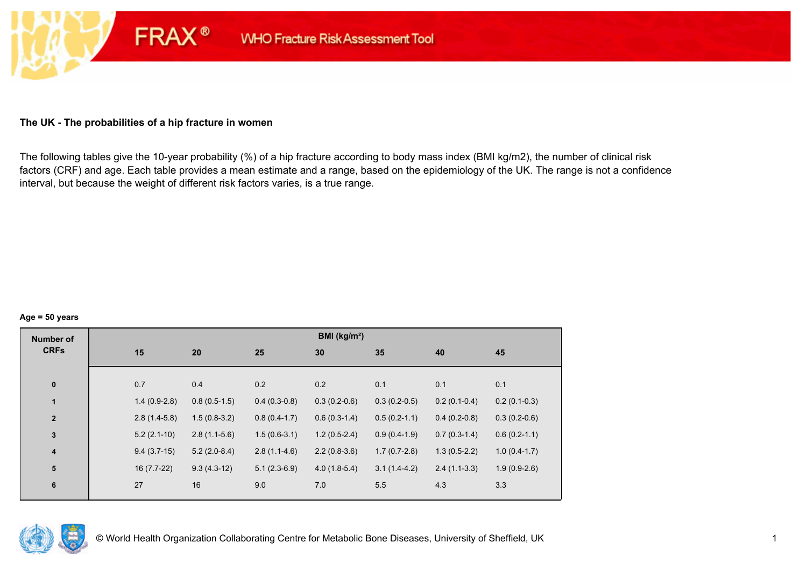### **The UK - The probabilities of a hip fracture in women**

**FRAX®** 

The following tables give the 10-year probability (%) of a hip fracture according to body mass index (BMI kg/m2), the number of clinical risk factors (CRF) and age. Each table provides a mean estimate and a range, based on the epidemiology of the UK. The range is not a confidence interval, but because the weight of different risk factors varies, is a true range.

#### **Age = 50 years**

| <b>Number of</b> |     |                |                |                | BMI (kg/m <sup>2</sup> ) |                |                |                |
|------------------|-----|----------------|----------------|----------------|--------------------------|----------------|----------------|----------------|
| <b>CRFs</b>      | 15  |                | 20             | 25             | 30                       | 35             | 40             | 45             |
|                  |     |                |                |                |                          |                |                |                |
| $\pmb{0}$        | 0.7 |                | 0.4            | 0.2            | 0.2                      | 0.1            | 0.1            | 0.1            |
| $\mathbf{1}$     |     | $1.4(0.9-2.8)$ | $0.8(0.5-1.5)$ | $0.4(0.3-0.8)$ | $0.3(0.2-0.6)$           | $0.3(0.2-0.5)$ | $0.2(0.1-0.4)$ | $0.2(0.1-0.3)$ |
| $\mathbf{2}$     |     | $2.8(1.4-5.8)$ | $1.5(0.8-3.2)$ | $0.8(0.4-1.7)$ | $0.6(0.3-1.4)$           | $0.5(0.2-1.1)$ | $0.4(0.2-0.8)$ | $0.3(0.2-0.6)$ |
| $\mathbf{3}$     |     | $5.2(2.1-10)$  | $2.8(1.1-5.6)$ | $1.5(0.6-3.1)$ | $1.2(0.5-2.4)$           | $0.9(0.4-1.9)$ | $0.7(0.3-1.4)$ | $0.6(0.2-1.1)$ |
| 4                |     | $9.4(3.7-15)$  | $5.2(2.0-8.4)$ | $2.8(1.1-4.6)$ | $2.2(0.8-3.6)$           | $1.7(0.7-2.8)$ | $1.3(0.5-2.2)$ | $1.0(0.4-1.7)$ |
| ${\bf 5}$        |     | $16(7.7-22)$   | $9.3(4.3-12)$  | $5.1(2.3-6.9)$ | $4.0(1.8-5.4)$           | $3.1(1.4-4.2)$ | $2.4(1.1-3.3)$ | $1.9(0.9-2.6)$ |
| $\bf 6$          | 27  |                | 16             | 9.0            | 7.0                      | 5.5            | 4.3            | 3.3            |
|                  |     |                |                |                |                          |                |                |                |

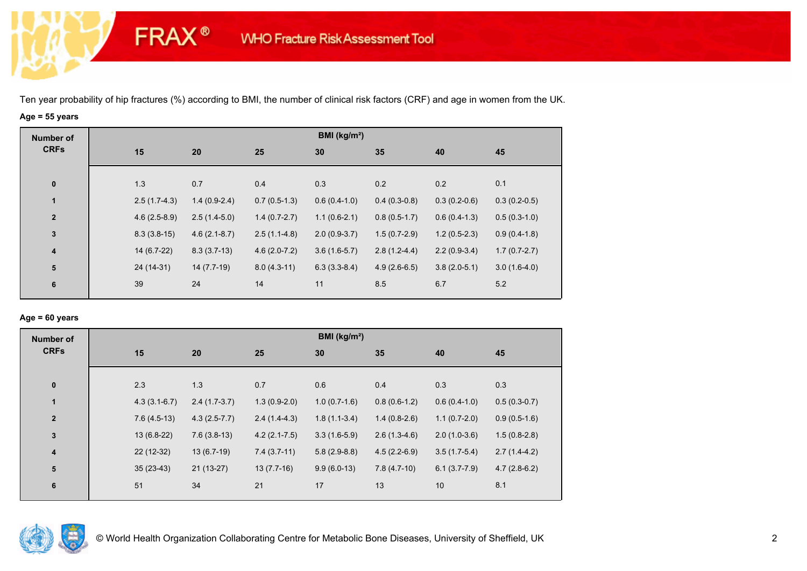**FRAX®** 

# **Age = 55 years**

| <b>Number of</b> |                |                |                | BMI ( $kg/m2$ ) |                |                |                |
|------------------|----------------|----------------|----------------|-----------------|----------------|----------------|----------------|
| <b>CRFs</b>      | 15             | 20             | 25             | 30              | 35             | 40             | 45             |
| $\pmb{0}$        | 1.3            | 0.7            | 0.4            | 0.3             | 0.2            | 0.2            | 0.1            |
| $\mathbf{1}$     | $2.5(1.7-4.3)$ | $1.4(0.9-2.4)$ | $0.7(0.5-1.3)$ | $0.6(0.4-1.0)$  | $0.4(0.3-0.8)$ | $0.3(0.2-0.6)$ | $0.3(0.2-0.5)$ |
| $\mathbf{2}$     | $4.6(2.5-8.9)$ | $2.5(1.4-5.0)$ | $1.4(0.7-2.7)$ | $1.1(0.6-2.1)$  | $0.8(0.5-1.7)$ | $0.6(0.4-1.3)$ | $0.5(0.3-1.0)$ |
| 3                | $8.3(3.8-15)$  | $4.6(2.1-8.7)$ | $2.5(1.1-4.8)$ | $2.0(0.9-3.7)$  | $1.5(0.7-2.9)$ | $1.2(0.5-2.3)$ | $0.9(0.4-1.8)$ |
| $\boldsymbol{4}$ | 14 (6.7-22)    | $8.3(3.7-13)$  | $4.6(2.0-7.2)$ | $3.6(1.6-5.7)$  | $2.8(1.2-4.4)$ | $2.2(0.9-3.4)$ | $1.7(0.7-2.7)$ |
| ${\bf 5}$        | 24 (14-31)     | 14 (7.7-19)    | $8.0(4.3-11)$  | $6.3(3.3-8.4)$  | $4.9(2.6-6.5)$ | $3.8(2.0-5.1)$ | $3.0(1.6-4.0)$ |
| $6\phantom{1}6$  | 39             | 24             | 14             | 11              | 8.5            | 6.7            | 5.2            |

### **Age = 60 years**

| <b>Number of</b> |     |                                  |                | BMI (kg/m <sup>2</sup> ) |                |                |                |
|------------------|-----|----------------------------------|----------------|--------------------------|----------------|----------------|----------------|
| <b>CRFs</b>      | 15  | 20                               | 25             | 30                       | 35             | 40             | 45             |
| $\pmb{0}$        | 2.3 | 1.3                              | 0.7            | 0.6                      | 0.4            | 0.3            | 0.3            |
| $\mathbf{1}$     |     | $2.4(1.7-3.7)$<br>$4.3(3.1-6.7)$ | $1.3(0.9-2.0)$ | $1.0(0.7-1.6)$           | $0.8(0.6-1.2)$ | $0.6(0.4-1.0)$ | $0.5(0.3-0.7)$ |
| $\mathbf{2}$     |     | $7.6(4.5-13)$<br>$4.3(2.5-7.7)$  | $2.4(1.4-4.3)$ | $1.8(1.1-3.4)$           | $1.4(0.8-2.6)$ | $1.1(0.7-2.0)$ | $0.9(0.5-1.6)$ |
| 3                |     | $13(6.8-22)$<br>$7.6(3.8-13)$    | $4.2(2.1-7.5)$ | $3.3(1.6-5.9)$           | $2.6(1.3-4.6)$ | $2.0(1.0-3.6)$ | $1.5(0.8-2.8)$ |
| 4                |     | $22(12-32)$<br>$13(6.7-19)$      | $7.4(3.7-11)$  | $5.8(2.9-8.8)$           | $4.5(2.2-6.9)$ | $3.5(1.7-5.4)$ | $2.7(1.4-4.2)$ |
| 5                |     | $21(13-27)$<br>$35(23-43)$       | $13(7.7-16)$   | $9.9(6.0-13)$            | $7.8(4.7-10)$  | $6.1(3.7-7.9)$ | $4.7(2.8-6.2)$ |
| 6                | 51  | 34                               | 21             | 17                       | 13             | 10             | 8.1            |

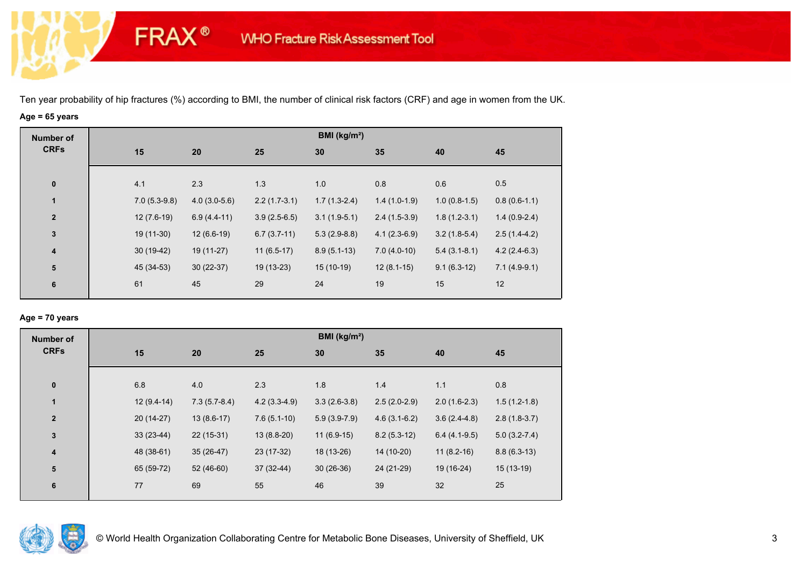**FRAX®** 

# **Age = 65 years**

| <b>Number of</b>        |                |                |                | BMI ( $kg/m2$ ) |                |                |                |
|-------------------------|----------------|----------------|----------------|-----------------|----------------|----------------|----------------|
| <b>CRFs</b>             | 15             | 20             | 25             | 30              | 35             | 40             | 45             |
|                         |                |                |                |                 |                |                |                |
| $\bf{0}$                | 4.1            | 2.3            | 1.3            | 1.0             | 0.8            | 0.6            | 0.5            |
| 1                       | $7.0(5.3-9.8)$ | $4.0(3.0-5.6)$ | $2.2(1.7-3.1)$ | $1.7(1.3-2.4)$  | $1.4(1.0-1.9)$ | $1.0(0.8-1.5)$ | $0.8(0.6-1.1)$ |
| $\mathbf{2}$            | $12(7.6-19)$   | $6.9(4.4-11)$  | $3.9(2.5-6.5)$ | $3.1(1.9-5.1)$  | $2.4(1.5-3.9)$ | $1.8(1.2-3.1)$ | $1.4(0.9-2.4)$ |
| $\mathbf{3}$            | $19(11-30)$    | $12(6.6-19)$   | $6.7(3.7-11)$  | $5.3(2.9-8.8)$  | $4.1(2.3-6.9)$ | $3.2(1.8-5.4)$ | $2.5(1.4-4.2)$ |
| $\overline{\mathbf{4}}$ | $30(19-42)$    | 19 (11-27)     | $11(6.5-17)$   | $8.9(5.1-13)$   | $7.0(4.0-10)$  | $5.4(3.1-8.1)$ | $4.2(2.4-6.3)$ |
| ${\bf 5}$               | 45 (34-53)     | $30(22-37)$    | 19 (13-23)     | $15(10-19)$     | $12(8.1-15)$   | $9.1(6.3-12)$  | $7.1(4.9-9.1)$ |
| 6                       | 61             | 45             | 29             | 24              | 19             | 15             | 12             |
|                         |                |                |                |                 |                |                |                |

### **Age = 70 years**

| <b>Number of</b>        |              |                |                | BMI (kg/m <sup>2</sup> ) |                |                |                |
|-------------------------|--------------|----------------|----------------|--------------------------|----------------|----------------|----------------|
| <b>CRFs</b>             | 15           | 20             | 25             | 30                       | 35             | 40             | 45             |
|                         |              |                |                |                          |                |                |                |
| $\bf{0}$                | 6.8          | 4.0            | 2.3            | 1.8                      | 1.4            | 1.1            | 0.8            |
| $\blacksquare$          | $12(9.4-14)$ | $7.3(5.7-8.4)$ | $4.2(3.3-4.9)$ | $3.3(2.6-3.8)$           | $2.5(2.0-2.9)$ | $2.0(1.6-2.3)$ | $1.5(1.2-1.8)$ |
| $\overline{2}$          | $20(14-27)$  | $13(8.6-17)$   | $7.6(5.1-10)$  | $5.9(3.9-7.9)$           | $4.6(3.1-6.2)$ | $3.6(2.4-4.8)$ | $2.8(1.8-3.7)$ |
| $\overline{\mathbf{3}}$ | $33(23-44)$  | $22(15-31)$    | $13(8.8-20)$   | $11(6.9-15)$             | $8.2(5.3-12)$  | $6.4(4.1-9.5)$ | $5.0(3.2-7.4)$ |
| $\boldsymbol{4}$        | 48 (38-61)   | $35(26-47)$    | 23 (17-32)     | 18 (13-26)               | 14 (10-20)     | $11(8.2-16)$   | $8.8(6.3-13)$  |
| 5                       | 65 (59-72)   | 52 (46-60)     | $37(32-44)$    | $30(26-36)$              | 24 (21-29)     | 19 (16-24)     | $15(13-19)$    |
| $6\phantom{1}6$         | 77           | 69             | 55             | 46                       | 39             | 32             | 25             |
|                         |              |                |                |                          |                |                |                |

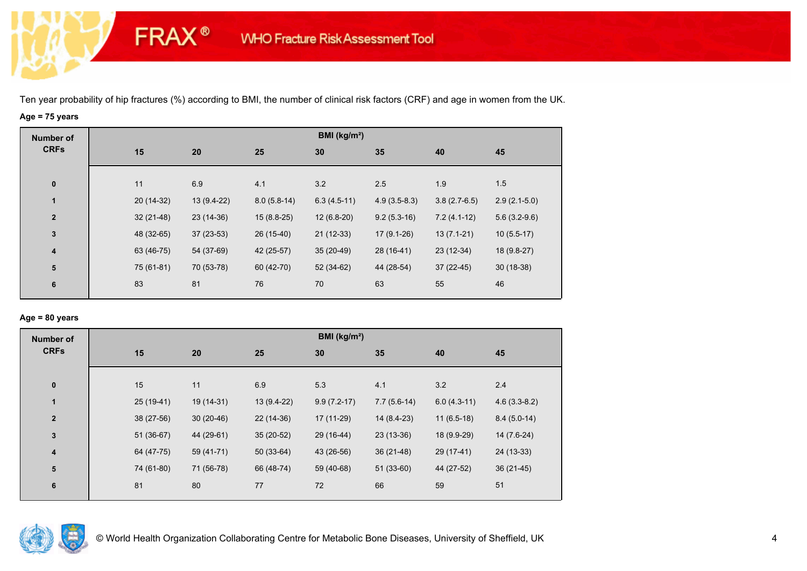**FRAX®** 

# **Age = 75 years**

| <b>Number of</b>        |             |             |               | BMI (kg/m <sup>2</sup> ) |                |                |                |
|-------------------------|-------------|-------------|---------------|--------------------------|----------------|----------------|----------------|
| <b>CRFs</b>             | 15          | 20          | 25            | 30                       | 35             | 40             | 45             |
|                         |             |             |               |                          |                |                |                |
| $\bf{0}$                | 11          | 6.9         | 4.1           | 3.2                      | 2.5            | 1.9            | 1.5            |
| 1                       | 20 (14-32)  | 13 (9.4-22) | $8.0(5.8-14)$ | $6.3(4.5-11)$            | $4.9(3.5-8.3)$ | $3.8(2.7-6.5)$ | $2.9(2.1-5.0)$ |
| $\overline{\mathbf{2}}$ | $32(21-48)$ | 23 (14-36)  | $15(8.8-25)$  | $12(6.8-20)$             | $9.2(5.3-16)$  | $7.2(4.1-12)$  | $5.6(3.2-9.6)$ |
| $\mathbf{3}$            | 48 (32-65)  | $37(23-53)$ | 26 (15-40)    | $21(12-33)$              | $17(9.1-26)$   | $13(7.1-21)$   | $10(5.5-17)$   |
| $\overline{\mathbf{4}}$ | 63 (46-75)  | 54 (37-69)  | 42 (25-57)    | $35(20-49)$              | 28 (16-41)     | $23(12-34)$    | 18 (9.8-27)    |
| 5                       | 75 (61-81)  | 70 (53-78)  | 60 (42-70)    | $52(34-62)$              | 44 (28-54)     | $37(22-45)$    | $30(18-38)$    |
| 6                       | 83          | 81          | 76            | 70                       | 63             | 55             | 46             |
|                         |             |             |               |                          |                |                |                |

### **Age = 80 years**

| <b>Number of</b> |             |             |              | BMI ( $kg/m2$ ) |               |               |                |
|------------------|-------------|-------------|--------------|-----------------|---------------|---------------|----------------|
| <b>CRFs</b>      | 15          | 20          | 25           | 30              | 35            | 40            | 45             |
| $\pmb{0}$        | 15          | 11          | 6.9          | 5.3             | 4.1           | 3.2           | 2.4            |
| $\mathbf{1}$     | $25(19-41)$ | 19 (14-31)  | $13(9.4-22)$ | $9.9(7.2-17)$   | $7.7(5.6-14)$ | $6.0(4.3-11)$ | $4.6(3.3-8.2)$ |
| $\mathbf{2}$     | 38 (27-56)  | $30(20-46)$ | 22 (14-36)   | 17 (11-29)      | 14 (8.4-23)   | $11(6.5-18)$  | $8.4(5.0-14)$  |
| 3                | 51 (36-67)  | 44 (29-61)  | $35(20-52)$  | 29 (16-44)      | $23(13-36)$   | 18 (9.9-29)   | 14 (7.6-24)    |
| 4                | 64 (47-75)  | 59 (41-71)  | $50(33-64)$  | 43 (26-56)      | $36(21-48)$   | 29 (17-41)    | 24 (13-33)     |
| 5                | 74 (61-80)  | 71 (56-78)  | 66 (48-74)   | 59 (40-68)      | $51(33-60)$   | 44 (27-52)    | $36(21-45)$    |
| 6                | 81          | 80          | 77           | 72              | 66            | 59            | 51             |